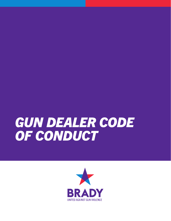# *GUN DEALER CODE OF CONDUCT*

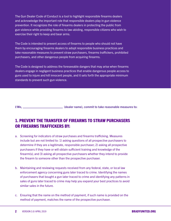The Gun Dealer Code of Conduct is a tool to highlight responsible firearms dealers and acknowledge the important role that responsible dealers play in gun violence prevention. It recognizes the role of firearms dealers in protecting the public from gun violence while providing firearms to law-abiding, responsible citizens who wish to exercise their right to keep and bear arms.

The Code is intended to prevent access of firearms to people who should not have them by encouraging firearms dealers to adopt responsible business practices and take reasonable measures to prevent straw purchasers, firearms traffickers, prohibited purchasers, and other dangerous people from acquiring firearms.

The Code is designed to address the foreseeable dangers that may arise when firearms dealers engage in negligent business practices that enable dangerous people access to guns used to injure and kill innocent people, and it sets forth the appropriate minimum standards to prevent such gun violence.

I/We, \_\_\_\_\_\_\_\_\_\_\_\_\_\_\_\_\_\_\_\_\_\_\_\_\_\_\_(dealer name), commit to take reasonable measures to:

## 1. PREVENT THE TRANSFER OF FIREARMS TO STRAW PURCHASERS OR FIREARMS TRAFFICKERS BY:

- a. Screening for indicators of straw purchases and firearms trafficking. Measures include but are not limited to: 1) asking questions of all prospective purchasers to determine if they are a legitimate, responsible purchaser; 2) asking all prospective purchasers if they have or will obtain sufficient training and knowledge of the firearm(s); and 3) asking all prospective purchasers whether they intend to provide the firearm to someone other than the prospective purchaser.
- b. Maintaining and reviewing requests received from any federal, state, or local law enforcement agency concerning guns later traced to crime. Identifying the names of purchasers that bought a gun later traced to crime and identifying any patterns in sales of guns later traced to crime may help you expand your best practices to avoid similar sales in the future.
- c. Ensuring that the name on the method of payment, if such name is provided on the method of payment, matches the name of the prospective purchaser.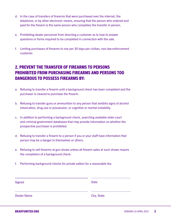- d. In the case of transfers of firearms that were purchased over the internet, the telephone, or by other electronic means, ensuring that the person who ordered and paid for the firearm is the same person who completes the transfer in person.
- e. Prohibiting dealer personnel from directing a customer as to how to answer questions or forms required to be completed in connection with the sale.
- f. Limiting purchases of firearms to one per 30 days per civilian, non-law enforcement customer.

# 2. PREVENT THE TRANSFER OF FIREARMS TO PERSONS PROHIBITED FROM PURCHASING FIREARMS AND PERSONS TOO DANGEROUS TO POSSESS FIREARMS BY:

- a. Refusing to transfer a firearm until a background check has been completed and the purchaser is cleared to purchase the firearm.
- b. Refusing to transfer guns or ammunition to any person that exhibits signs of alcohol intoxication, drug use or possession, or cognitive or mental instability.
- c. In addition to performing a background check, searching available state court and criminal government databases that may provide information on whether the prospective purchaser is prohibited.
- d. Refusing to transfer a firearm to a person if you or your staff have information that person may be a danger to themselves or others.
- e. Refusing to sell firearms at gun shows unless all firearm sales at such shows require the completion of a background check.
- f. Performing background checks for private sellers for a reasonable fee.

| Signed             | <b>Date</b> |
|--------------------|-------------|
| <b>Dealer Name</b> | City, State |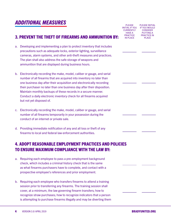#### 3. PREVENT THE THEFT OF FIREARMS AND AMMUNITION BY:

- a. Developing and implementing a plan to protect inventory that includes precautions such as adequate locks, exterior lighting, surveillance cameras, alarm systems, and other anti-theft measures and practices. The plan shall also address the safe storage of weapons and ammunition that are displayed during business hours.
- b. Electronically recording the make, model, caliber or gauge, and serial number of all firearms that are acquired into inventory no later than one business day after their acquisition and electronically recording their purchaser no later than one business day after their disposition. Maintain monthly backups of these records in a secure manner. Conduct a daily electronic inventory check for all firearms acquired but not yet disposed of.
- c. Electronically recording the make, model, caliber or gauge, and serial number of all firearms temporarily in your possession during the conduct of an internet or private sale.
- d. Providing immediate notification of any and all loss or theft of any firearms to local and federal law enforcement authorities.

#### 4. ADOPT REASONABLE EMPLOYMENT PRACTICES AND POLICIES TO ENSURE MAXIMUM COMPLIANCE WITH THE LAW BY:

- a. Requiring each employee to pass a pre-employment background check, which includes a criminal history check that is the same as what firearms purchasers have to complete, and contact with a prospective employee's references and prior employment.
- b. Requiring each employee who transfers firearms to attend a training session prior to transferring any firearms. The training session shall cover, at a minimum, the law governing firearm transfers; how to recognize straw purchases; how to recognize indicators that a person is attempting to purchase firearms illegally and may be diverting them

PLEASE INITIAL IF YOU IF YOU WOULD **CURRENTLY** HAVE A PRACTICE IN PLACE PLEASE INITIAL CONSIDER PUTTING A PRACTICE IN PLACE